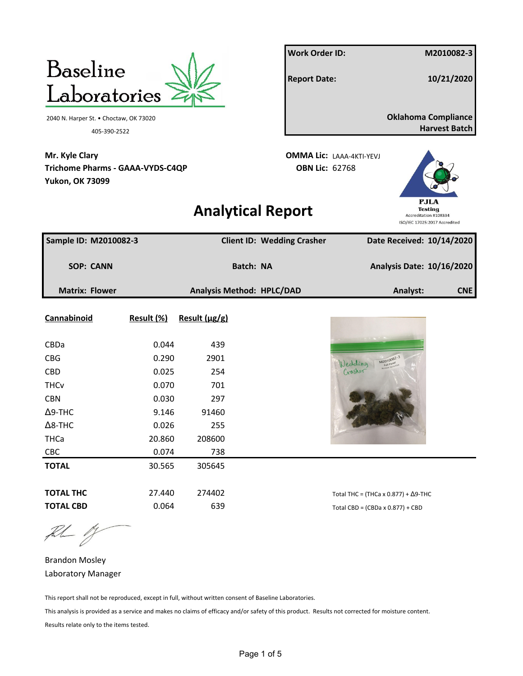

the 1

Brandon Mosley Laboratory Manager

This report shall not be reproduced, except in full, without written consent of Baseline Laboratories.

This analysis is provided as a service and makes no claims of efficacy and/or safety of this product. Results not corrected for moisture content. Results relate only to the items tested.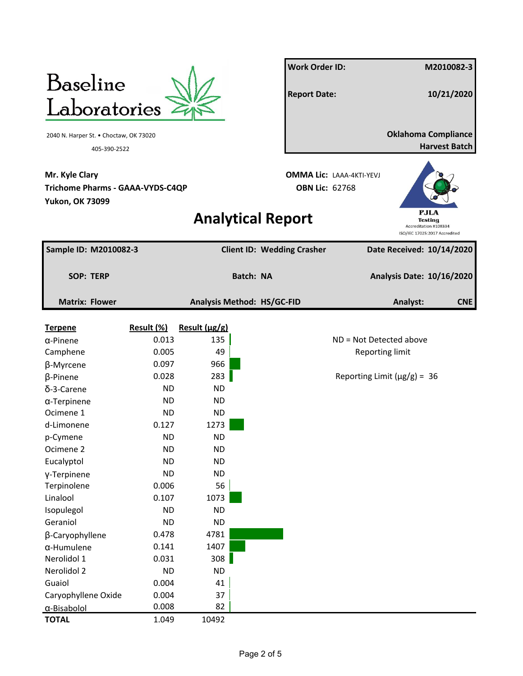

**Work Order ID: M2010082-3 Report Date: 10/21/2020** 2040 N. Harper St. • Choctaw, OK 73020 **Oklahoma Compliance** 405-390-2522 **Harvest Batch**



## **Analytical Report**

**Sample ID: M2010082-3 Client ID: Wedding Crasher Date Received: 10/14/2020 SOP: TERP Batch: NA Analysis Date: 10/16/2020 Matrix: Flower Analysis Method: HS/GC-FID Analyst: CNE Terpene Result (%) Result (μg/g)**  $\alpha$ -Pinene 0.013 135  $\vert$  135 ND = Not Detected above Camphene 0.005 49 Reporting limit β-Myrcene 0.097 966  $β$ -Pinene 0.028 283 Reporting Limit (μg/g) = 36 δ-3-Carene ND ND α-Terpinene ND ND ND Ocimene 1 ND ND ND d-Limonene 0.127 1273 p-Cymene ND ND ND Ocimene 2 ND ND ND Eucalyptol ND ND ND γ-Terpinene ND ND ND Terpinolene 0.006 56 Linalool 0.107 1073 Isopulegol ND ND ND Geraniol ND ND ND β-Caryophyllene 0.478 4781 α-Humulene 0.141 1407 Nerolidol 1 0.031 308 Nerolidol 2 ND ND ND Guaiol 0.004 41 Caryophyllene Oxide 0.004 37 α-Bisabolol 0.008 82 **TOTAL** 1.049 10492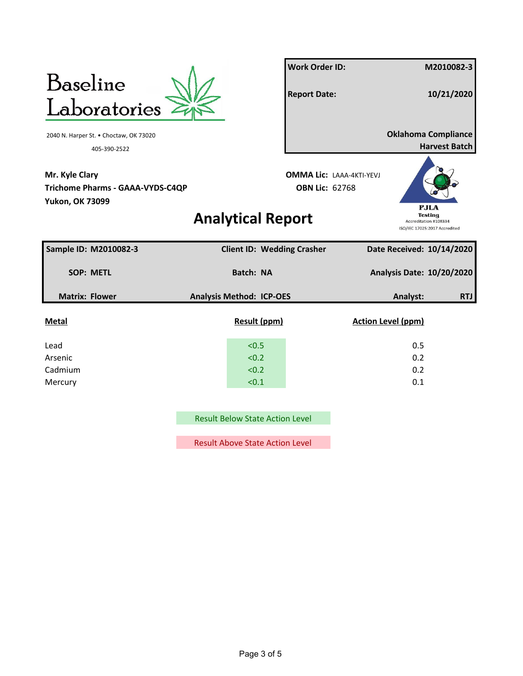

**Work Order ID: M2010082-3 Report Date: 10/21/2020** 405-390-2522 **Harvest Batch**

## **Analytical Report**



| Sample ID: M2010082-3 | <b>Client ID: Wedding Crasher</b> | Date Received: 10/14/2020 |            |
|-----------------------|-----------------------------------|---------------------------|------------|
| <b>SOP: METL</b>      | <b>Batch: NA</b>                  | Analysis Date: 10/20/2020 |            |
| <b>Matrix: Flower</b> | <b>Analysis Method: ICP-OES</b>   | Analyst:                  | <b>RTJ</b> |
| <b>Metal</b>          | <b>Result (ppm)</b>               | <b>Action Level (ppm)</b> |            |
| Lead                  | < 0.5                             | 0.5                       |            |
| Arsenic               | < 0.2                             | 0.2                       |            |
| Cadmium               | < 0.2                             | 0.2                       |            |
| Mercury               | < 0.1                             | 0.1                       |            |

Result Below State Action Level

Result Above State Action Level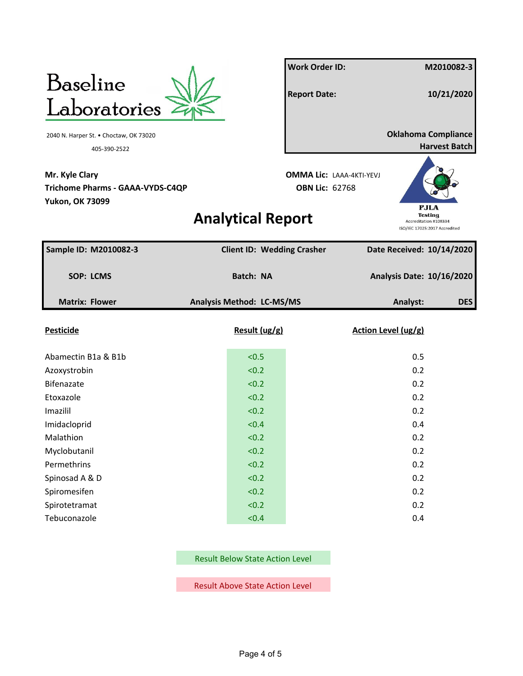

**Work Order ID: M2010082-3 Report Date: 10/21/2020** 2040 N. Harper St. • Choctaw, OK 73020 **Oklahoma Compliance** 405-390-2522 **Harvest Batch**

## **Analytical Report**



| Sample ID: M2010082-3 |           | <b>Client ID: Wedding Crasher</b> |                                  | Date Received: 10/14/2020 |            |
|-----------------------|-----------|-----------------------------------|----------------------------------|---------------------------|------------|
| <b>SOP: LCMS</b>      | Batch: NA |                                   | <b>Analysis Date: 10/16/2020</b> |                           |            |
| <b>Matrix: Flower</b> |           | Analysis Method: LC-MS/MS         |                                  | Analyst:                  | <b>DES</b> |
| <b>Pesticide</b>      |           | Result (ug/g)                     |                                  | Action Level (ug/g)       |            |
| Abamectin B1a & B1b   |           | < 0.5                             |                                  | 0.5                       |            |
| Azoxystrobin          |           | < 0.2                             |                                  | 0.2                       |            |
| Bifenazate            |           | < 0.2                             |                                  | 0.2                       |            |
| Etoxazole             |           | < 0.2                             |                                  | 0.2                       |            |
| Imazilil              |           | < 0.2                             |                                  | 0.2                       |            |
| Imidacloprid          |           | < 0.4                             |                                  | 0.4                       |            |
| Malathion             |           | < 0.2                             |                                  | 0.2                       |            |
| Myclobutanil          |           | < 0.2                             |                                  | 0.2                       |            |
| Permethrins           |           | < 0.2                             |                                  | 0.2                       |            |
| Spinosad A & D        |           | < 0.2                             |                                  | 0.2                       |            |
| Spiromesifen          |           | < 0.2                             |                                  | 0.2                       |            |
| Spirotetramat         |           | < 0.2                             |                                  | 0.2                       |            |
| Tebuconazole          |           | < 0.4                             |                                  | 0.4                       |            |

Result Below State Action Level

Result Above State Action Level